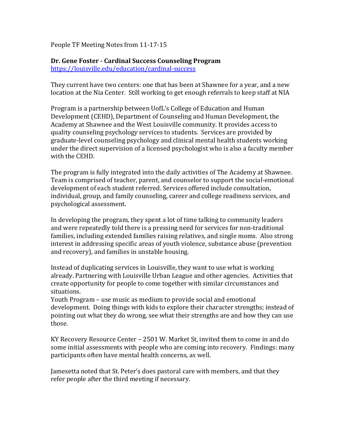People TF Meeting Notes from 11-17-15

# **Dr. Gene Foster - Cardinal Success Counseling Program**

<https://louisville.edu/education/cardinal-success>

They current have two centers: one that has been at Shawnee for a year, and a new location at the Nia Center. Still working to get enough referrals to keep staff at NIA

Program is a partnership between UofL's College of Education and Human Development (CEHD), Department of Counseling and Human Development, the Academy at Shawnee and the West Louisville community. It provides access to quality counseling psychology services to students. Services are provided by graduate-level counseling psychology and clinical mental health students working under the direct supervision of a licensed psychologist who is also a faculty member with the CEHD.

The program is fully integrated into the daily activities of The Academy at Shawnee. Team is comprised of teacher, parent, and counselor to support the social-emotional development of each student referred. Services offered include consultation, individual, group, and family counseling, career and college readiness services, and psychological assessment.

In developing the program, they spent a lot of time talking to community leaders and were repeatedly told there is a pressing need for services for non-traditional families, including extended families raising relatives, and single moms. Also strong interest in addressing specific areas of youth violence, substance abuse (prevention and recovery), and families in unstable housing.

Instead of duplicating services in Louisville, they want to use what is working already. Partnering with Louisville Urban League and other agencies. Activities that create opportunity for people to come together with similar circumstances and situations.

Youth Program – use music as medium to provide social and emotional development. Doing things with kids to explore their character strengths; instead of pointing out what they do wrong, see what their strengths are and how they can use those.

KY Recovery Resource Center – 2501 W. Market St, invited them to come in and do some initial assessments with people who are coming into recovery. Findings: many participants often have mental health concerns, as well.

Jamesetta noted that St. Peter's does pastoral care with members, and that they refer people after the third meeting if necessary.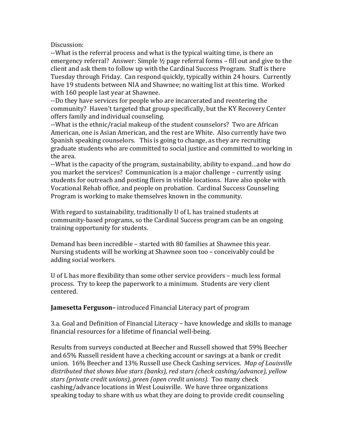Discussion:

--What is the referral process and what is the typical waiting time, is there an emergency referral? Answer: Simple ½ page referral forms – fill out and give to the client and ask them to follow up with the Cardinal Success Program. Staff is there Tuesday through Friday. Can respond quickly, typically within 24 hours. Currently have 19 students between NIA and Shawnee; no waiting list at this time. Worked with 160 people last year at Shawnee.

--Do they have services for people who are incarcerated and reentering the community? Haven't targeted that group specifically, but the KY Recovery Center offers family and individual counseling.

--What is the ethnic/racial makeup of the student counselors? Two are African American, one is Asian American, and the rest are White. Also currently have two Spanish speaking counselors. This is going to change, as they are recruiting graduate students who are committed to social justice and committed to working in the area.

--What is the capacity of the program, sustainability, ability to expand…and how do you market the services? Communication is a major challenge – currently using students for outreach and posting fliers in visible locations. Have also spoke with Vocational Rehab office, and people on probation. Cardinal Success Counseling Program is working to make themselves known in the community.

With regard to sustainability, traditionally U of L has trained students at community-based programs, so the Cardinal Success program can be an ongoing training opportunity for students.

Demand has been incredible – started with 80 families at Shawnee this year. Nursing students will be working at Shawnee soon too – conceivably could be adding social workers.

U of L has more flexibility than some other service providers – much less formal process. Try to keep the paperwork to a minimum. Students are very client centered.

**Jamesetta Ferguson–** introduced Financial Literacy part of program

3.a. Goal and Definition of Financial Literacy – have knowledge and skills to manage financial resources for a lifetime of financial well-being.

Results from surveys conducted at Beecher and Russell showed that 59% Beecher and 65% Russell resident have a checking account or savings at a bank or credit union. 16% Beecher and 13% Russell use Check Cashing services. *Map of Louisville distributed that shows blue stars (banks), red stars (check cashing/advance), yellow stars (private credit unions), green (open credit unions).* Too many check cashing/advance locations in West Louisville. We have three organizations speaking today to share with us what they are doing to provide credit counseling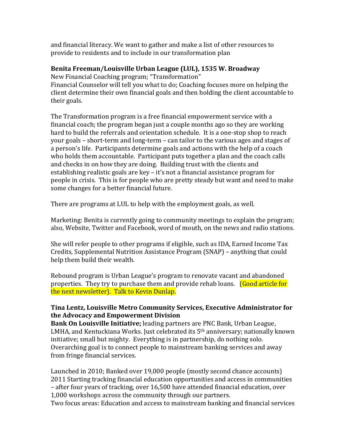and financial literacy. We want to gather and make a list of other resources to provide to residents and to include in our transformation plan

### **Benita Freeman/Louisville Urban League (LUL), 1535 W. Broadway**

New Financial Coaching program; "Transformation" Financial Counselor will tell you what to do; Coaching focuses more on helping the client determine their own financial goals and then holding the client accountable to their goals.

The Transformation program is a free financial empowerment service with a financial coach; the program began just a couple months ago so they are working hard to build the referrals and orientation schedule. It is a one-stop shop to reach your goals – short-term and long-term – can tailor to the various ages and stages of a person's life. Participants determine goals and actions with the help of a coach who holds them accountable. Participant puts together a plan and the coach calls and checks in on how they are doing. Building trust with the clients and establishing realistic goals are key – it's not a financial assistance program for people in crisis. This is for people who are pretty steady but want and need to make some changes for a better financial future.

There are programs at LUL to help with the employment goals, as well.

Marketing: Benita is currently going to community meetings to explain the program; also, Website, Twitter and Facebook, word of mouth, on the news and radio stations.

She will refer people to other programs if eligible, such as IDA, Earned Income Tax Credits, Supplemental Nutrition Assistance Program (SNAP) – anything that could help them build their wealth.

Rebound program is Urban League's program to renovate vacant and abandoned properties. They try to purchase them and provide rehab loans. (Good article for the next newsletter). Talk to Kevin Dunlap.

## **Tina Lentz, Louisville Metro Community Services, Executive Administrator for the Advocacy and Empowerment Division**

**Bank On Louisville Initiative;** leading partners are PNC Bank, Urban League, LMHA, and Kentuckiana Works. Just celebrated its 5th anniversary; nationally known initiative; small but mighty. Everything is in partnership, do nothing solo. Overarching goal is to connect people to mainstream banking services and away from fringe financial services.

Launched in 2010; Banked over 19,000 people (mostly second chance accounts) 2011 Starting tracking financial education opportunities and access in communities – after four years of tracking, over 16,500 have attended financial education, over 1,000 workshops across the community through our partners.

Two focus areas: Education and access to mainstream banking and financial services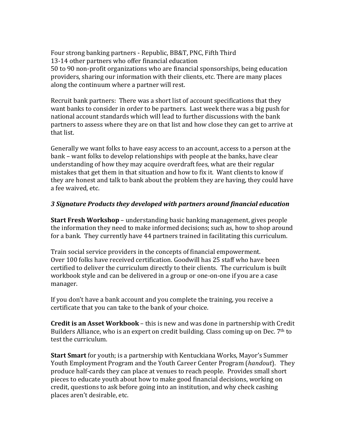Four strong banking partners - Republic, BB&T, PNC, Fifth Third 13-14 other partners who offer financial education 50 to 90 non-profit organizations who are financial sponsorships, being education providers, sharing our information with their clients, etc. There are many places along the continuum where a partner will rest.

Recruit bank partners: There was a short list of account specifications that they want banks to consider in order to be partners. Last week there was a big push for national account standards which will lead to further discussions with the bank partners to assess where they are on that list and how close they can get to arrive at that list.

Generally we want folks to have easy access to an account, access to a person at the bank – want folks to develop relationships with people at the banks, have clear understanding of how they may acquire overdraft fees, what are their regular mistakes that get them in that situation and how to fix it. Want clients to know if they are honest and talk to bank about the problem they are having, they could have a fee waived, etc.

### *3 Signature Products they developed with partners around financial education*

**Start Fresh Workshop** – understanding basic banking management, gives people the information they need to make informed decisions; such as, how to shop around for a bank. They currently have 44 partners trained in facilitating this curriculum.

Train social service providers in the concepts of financial empowerment. Over 100 folks have received certification. Goodwill has 25 staff who have been certified to deliver the curriculum directly to their clients. The curriculum is built workbook style and can be delivered in a group or one-on-one if you are a case manager.

If you don't have a bank account and you complete the training, you receive a certificate that you can take to the bank of your choice.

**Credit is an Asset Workbook** – this is new and was done in partnership with Credit Builders Alliance, who is an expert on credit building. Class coming up on Dec. 7<sup>th</sup> to test the curriculum.

**Start Smart** for youth; is a partnership with Kentuckiana Works, Mayor's Summer Youth Employment Program and the Youth Career Center Program (*handout*). They produce half-cards they can place at venues to reach people. Provides small short pieces to educate youth about how to make good financial decisions, working on credit, questions to ask before going into an institution, and why check cashing places aren't desirable, etc.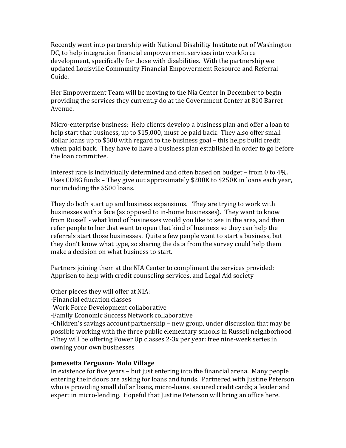Recently went into partnership with National Disability Institute out of Washington DC, to help integration financial empowerment services into workforce development, specifically for those with disabilities. With the partnership we updated Louisville Community Financial Empowerment Resource and Referral Guide.

Her Empowerment Team will be moving to the Nia Center in December to begin providing the services they currently do at the Government Center at 810 Barret Avenue.

Micro-enterprise business: Help clients develop a business plan and offer a loan to help start that business, up to \$15,000, must be paid back. They also offer small dollar loans up to \$500 with regard to the business goal – this helps build credit when paid back. They have to have a business plan established in order to go before the loan committee.

Interest rate is individually determined and often based on budget – from 0 to 4%. Uses CDBG funds – They give out approximately \$200K to \$250K in loans each year, not including the \$500 loans.

They do both start up and business expansions. They are trying to work with businesses with a face (as opposed to in-home businesses). They want to know from Russell - what kind of businesses would you like to see in the area, and then refer people to her that want to open that kind of business so they can help the referrals start those businesses. Quite a few people want to start a business, but they don't know what type, so sharing the data from the survey could help them make a decision on what business to start.

Partners joining them at the NIA Center to compliment the services provided: Apprisen to help with credit counseling services, and Legal Aid society

Other pieces they will offer at NIA:

-Financial education classes

-Work Force Development collaborative

-Family Economic Success Network collaborative

-Children's savings account partnership – new group, under discussion that may be possible working with the three public elementary schools in Russell neighborhood -They will be offering Power Up classes 2-3x per year: free nine-week series in owning your own businesses

### **Jamesetta Ferguson- Molo Village**

In existence for five years – but just entering into the financial arena. Many people entering their doors are asking for loans and funds. Partnered with Justine Peterson who is providing small dollar loans, micro-loans, secured credit cards; a leader and expert in micro-lending. Hopeful that Justine Peterson will bring an office here.